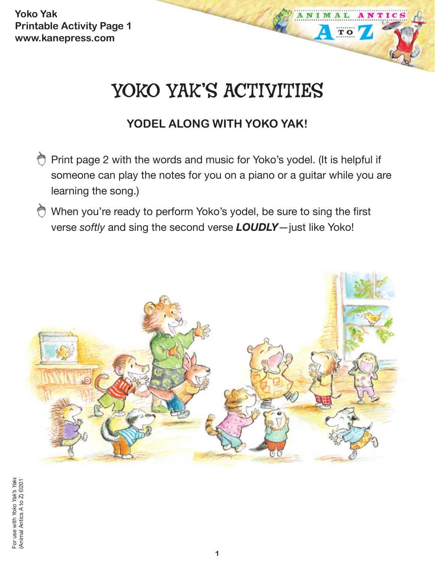**Yoko Yak Printable Activity Page 1 www.kanepress.com**

# YOKO YAK'S ACTIVITIES

TO

## **YODEL ALONG WITH YOKO YAK!**

- Print page 2 with the words and music for Yoko's yodel. (It is helpful if someone can play the notes for you on a piano or a guitar while you are learning the song.)
- When you're ready to perform Yoko's yodel, be sure to sing the first verse *softly* and sing the second verse *LOUDLY*—just like Yoko!

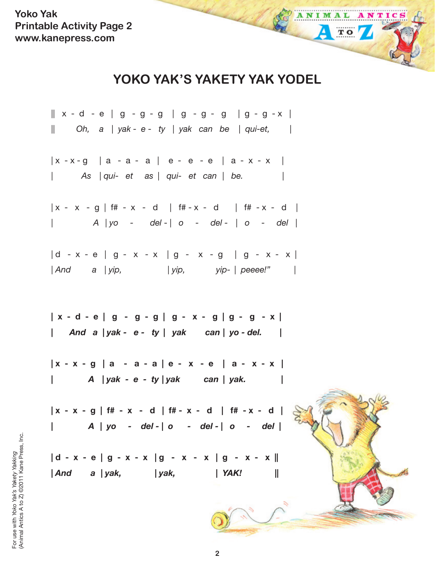**Yoko Yak Printable Activity Page 2 www.kanepress.com**

## **YOKO YAK'S YAKETY YAK YODEL**

ANIMAL

ANTIC

TO 7

 $|| x - d - e || g - g - g || g - g - g || g - g - x ||$ || *Oh, a* | *yak - e - ty* | *yak can be* | *qui-et,* |  $|x - x - g|$   $|a - a - a|$   $e - e - e$   $|a - x - x|$ | *As* | *qui- et as* | *qui- et can* | *be.* |  $|x - x - g|$  if  $x - x - d$  if  $x - x - d$  if  $x - x - d$ | *A* | *yo - del* - | *o - del -* | *o - del* |  $| d - x - e | g - x - x | g - x - g | g - x - x |$ | *And a* | *yip,* | *yip, yip-* | *peeee!"* | **| x - d - e | g - g - g | g - x - g | g - g - x | |** *And a | yak - e - ty | yak can | yo - del.* **| | x - x - g | a - a - a | e - x - e | a - x - x | |** *A | yak - e - ty | yak can | yak.* **| | x - x - g | f# - x - d | f# - x - d | f# - x - d | |** *A | yo - del - | o - del - | o - del* **| | d - x - e | g - x - x | g - x - x | g - x - x || |** *And a | yak, | yak, | YAK!* **||**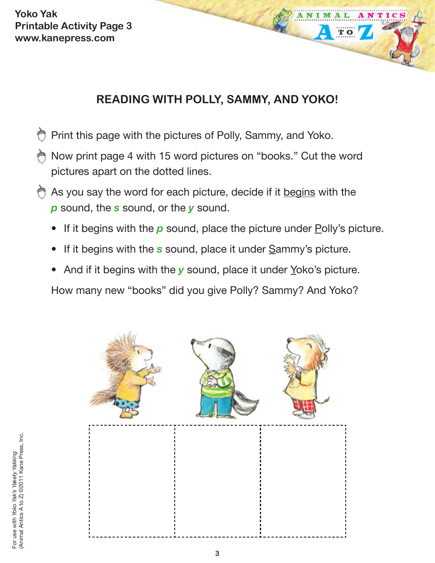**Yoko Yak Printable Activity Page 3 www.kanepress.com**

## **READING WITH POLLY, SAMMY, AND YOKO!**

 $\overline{\mathbf{T}}$  O

- Print this page with the pictures of Polly, Sammy, and Yoko.
- Now print page 4 with 15 word pictures on "books." Cut the word pictures apart on the dotted lines.
- As you say the word for each picture, decide if it begins with the *p* sound, the *s* sound, or the *y* sound.
	- If it begins with the **p** sound, place the picture under Polly's picture.
	- If it begins with the **s** sound, place it under Sammy's picture.
	- And if it begins with the **y** sound, place it under Yoko's picture.
	- How many new "books" did you give Polly? Sammy? And Yoko?

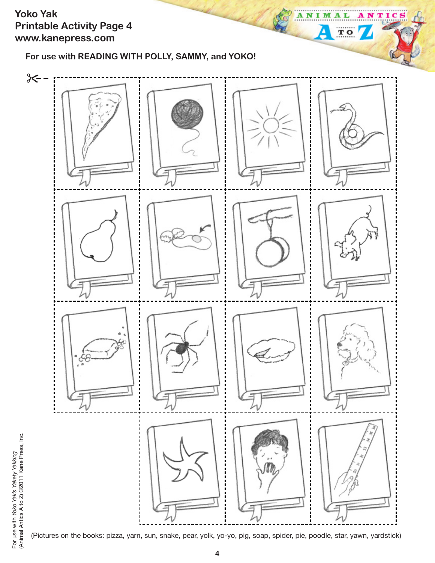#### **Yoko Yak Printable Activity Page 4 www.kanepress.com**

**For use with READING WITH POLLY, SAMMY, and YOKO!**



тı

C

ANI

M А 1

 $T$  O

(Pictures on the books: pizza, yarn, sun, snake, pear, yolk, yo-yo, pig, soap, spider, pie, poodle, star, yawn, yardstick)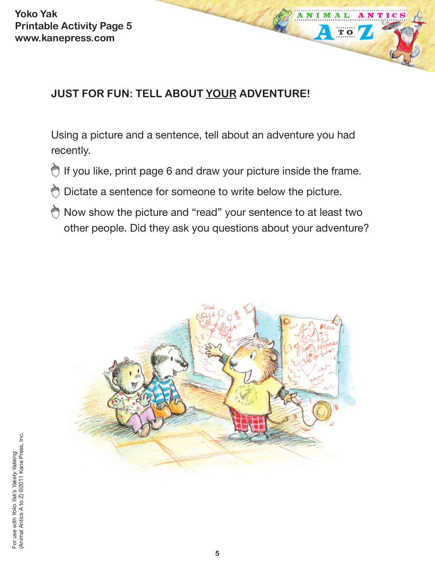**Yoko Yak Printable Activity Page 5 www.kanepress.com**

## **JUST FOR FUN: TELL ABOUT YOUR ADVENTURE!**

Using a picture and a sentence, tell about an adventure you had recently.

 $\overline{\mathbf{T}}$  O

- Ò If you like, print page 6 and draw your picture inside the frame.
- $\bigcirc$  Dictate a sentence for someone to write below the picture.
- Now show the picture and "read" your sentence to at least two other people. Did they ask you questions about your adventure?

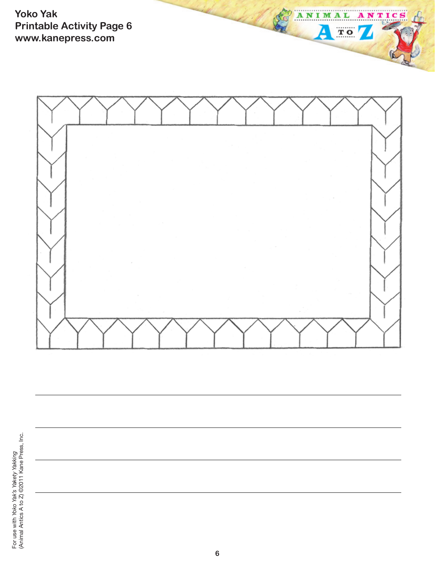**Yoko Yak Printable Activity Page 6 www.kanepress.com**



ANTICS

ANIM

≙

AL

 $\overline{\mathbf{T}}$  .